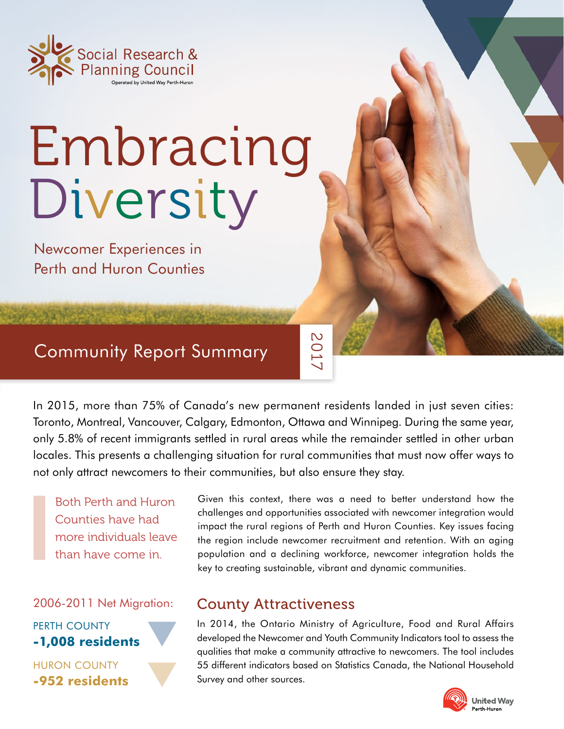

# Embracing Diversity

Newcomer Experiences in Perth and Huron Counties

# Community Report Summary

In 2015, more than 75% of Canada's new permanent residents landed in just seven cities: Toronto, Montreal, Vancouver, Calgary, Edmonton, Ottawa and Winnipeg. During the same year, only 5.8% of recent immigrants settled in rural areas while the remainder settled in other urban locales. This presents a challenging situation for rural communities that must now offer ways to not only attract newcomers to their communities, but also ensure they stay.

2017

Both Perth and Huron Counties have had more individuals leave than have come in.

2006-2011 Net Migration:



HURON COUNTY **-952 residents** Given this context, there was a need to better understand how the challenges and opportunities associated with newcomer integration would impact the rural regions of Perth and Huron Counties. Key issues facing the region include newcomer recruitment and retention. With an aging population and a declining workforce, newcomer integration holds the key to creating sustainable, vibrant and dynamic communities.

## County Attractiveness

In 2014, the Ontario Ministry of Agriculture, Food and Rural Affairs developed the Newcomer and Youth Community Indicators tool to assess the qualities that make a community attractive to newcomers. The tool includes 55 different indicators based on Statistics Canada, the National Household Survey and other sources.

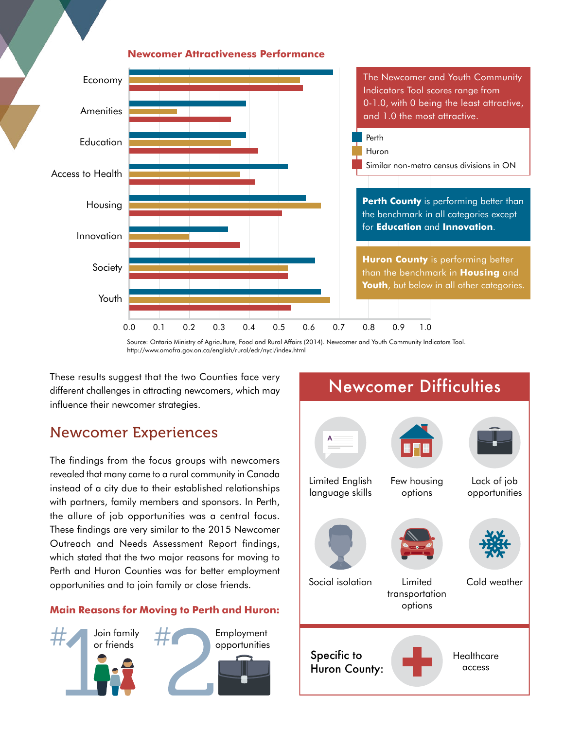

#### **Newcomer Attractiveness Performance**

Source: Ontario Ministry of Agriculture, Food and Rural Affairs (2014). Newcomer and Youth Community Indicators Tool. http://www.omafra.gov.on.ca/english/rural/edr/nyci/index.html

These results suggest that the two Counties face very different challenges in attracting newcomers, which may influence their newcomer strategies.

## Newcomer Experiences

The findings from the focus groups with newcomers revealed that many came to a rural community in Canada instead of a city due to their established relationships with partners, family members and sponsors. In Perth, the allure of job opportunities was a central focus. These findings are very similar to the 2015 Newcomer Outreach and Needs Assessment Report findings, which stated that the two major reasons for moving to Perth and Huron Counties was for better employment opportunities and to join family or close friends.

## **Main Reasons for Moving to Perth and Huron:**



# Newcomer Difficulties

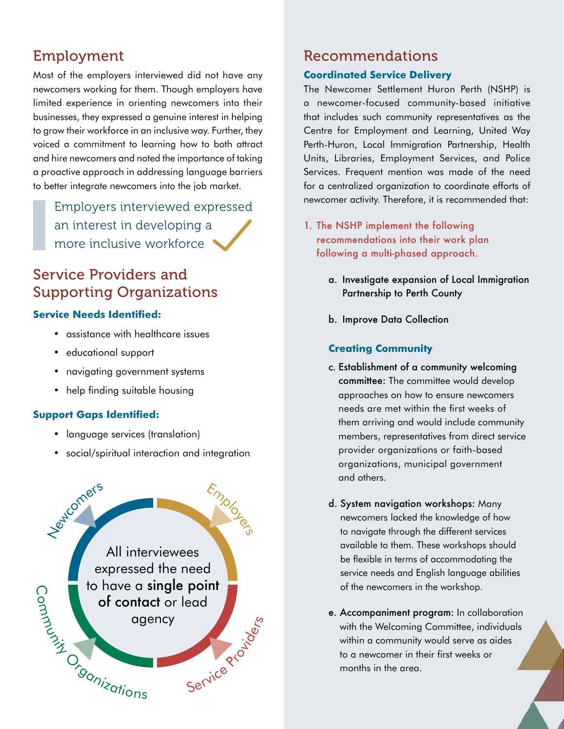# Employment

Most of the employers interviewed did not have any newcomers working for them. Though employers have limited experience in orienting newcomers into their businesses, they expressed a genuine interest in helping to grow their workforce in an inclusive way. Further, they voiced a commitment to learning how to both attract and hire newcomers and noted the importance of taking a proactive approach in addressing language barriers to better integrate newcomers into the job market.

Employers interviewed expressed an interest in developing a more inclusive workforce

# Service Providers and Supporting Organizations

## **Service Needs Identified:**

- assistance with healthcare issues
- educational support
- navigating government systems
- help finding suitable housing

## **Support Gaps Identified:**

- language services (translation)
- social/spiritual interaction and integration



## Recommendations

#### **Coordinated Service Delivery**

The Newcomer Settlement Huron Perth (NSHP) is a newcomer-focused community-based initiative that includes such community representatives as the Centre for Employment and Learning, United Way Perth-Huron, Local Immigration Partnership, Health Units, Libraries, Employment Services, and Police Services. Frequent mention was made of the need for a centralized organization to coordinate efforts of newcomer activity. Therefore, it is recommended that:

- 1. The NSHP implement the following recommendations into their work plan following a multi-phased approach.
	- a. Investigate expansion of Local Immigration Partnership to Perth County
	- b. Improve Data Collection

## **Creating Community**

- c. Establishment of a community welcoming committee: The committee would develop approaches on how to ensure newcomers needs are met within the first weeks of them arriving and would include community members, representatives from direct service provider organizations or faith-based organizations, municipal government and others.
- d. System navigation workshops: Many newcomers lacked the knowledge of how to navigate through the different services available to them. These workshops should be flexible in terms of accommodating the service needs and English language abilities of the newcomers in the workshop.
- e. Accompaniment program: In collaboration with the Welcoming Committee, individuals within a community would serve as aides to a newcomer in their first weeks or months in the area.